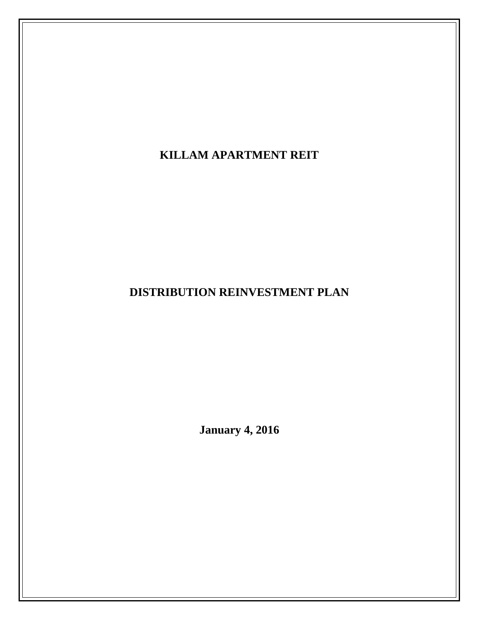**KILLAM APARTMENT REIT** 

**DISTRIBUTION REINVESTMENT PLAN** 

**January 4, 2016**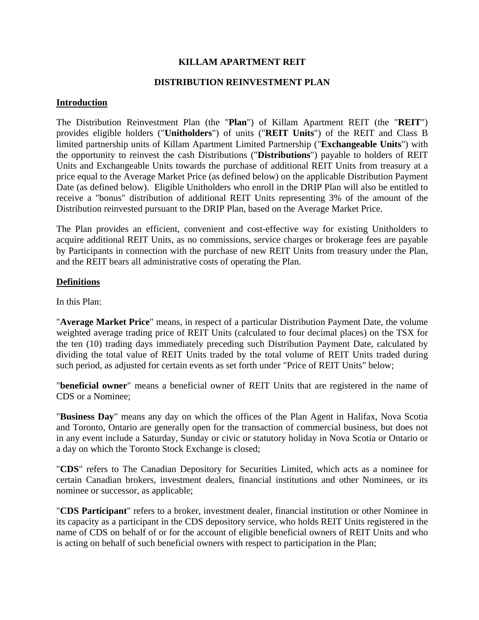## **KILLAM APARTMENT REIT**

## **DISTRIBUTION REINVESTMENT PLAN**

### **Introduction**

The Distribution Reinvestment Plan (the "**Plan**") of Killam Apartment REIT (the "**REIT**") provides eligible holders ("**Unitholders**") of units ("**REIT Units**") of the REIT and Class B limited partnership units of Killam Apartment Limited Partnership ("**Exchangeable Units**") with the opportunity to reinvest the cash Distributions ("**Distributions**") payable to holders of REIT Units and Exchangeable Units towards the purchase of additional REIT Units from treasury at a price equal to the Average Market Price (as defined below) on the applicable Distribution Payment Date (as defined below). Eligible Unitholders who enroll in the DRIP Plan will also be entitled to receive a "bonus" distribution of additional REIT Units representing 3% of the amount of the Distribution reinvested pursuant to the DRIP Plan, based on the Average Market Price.

The Plan provides an efficient, convenient and cost-effective way for existing Unitholders to acquire additional REIT Units, as no commissions, service charges or brokerage fees are payable by Participants in connection with the purchase of new REIT Units from treasury under the Plan, and the REIT bears all administrative costs of operating the Plan.

## **Definitions**

In this Plan:

"**Average Market Price**" means, in respect of a particular Distribution Payment Date, the volume weighted average trading price of REIT Units (calculated to four decimal places) on the TSX for the ten (10) trading days immediately preceding such Distribution Payment Date, calculated by dividing the total value of REIT Units traded by the total volume of REIT Units traded during such period, as adjusted for certain events as set forth under "Price of REIT Units" below;

"**beneficial owner**" means a beneficial owner of REIT Units that are registered in the name of CDS or a Nominee;

"**Business Day**" means any day on which the offices of the Plan Agent in Halifax, Nova Scotia and Toronto, Ontario are generally open for the transaction of commercial business, but does not in any event include a Saturday, Sunday or civic or statutory holiday in Nova Scotia or Ontario or a day on which the Toronto Stock Exchange is closed;

"**CDS**" refers to The Canadian Depository for Securities Limited, which acts as a nominee for certain Canadian brokers, investment dealers, financial institutions and other Nominees, or its nominee or successor, as applicable;

"**CDS Participant**" refers to a broker, investment dealer, financial institution or other Nominee in its capacity as a participant in the CDS depository service, who holds REIT Units registered in the name of CDS on behalf of or for the account of eligible beneficial owners of REIT Units and who is acting on behalf of such beneficial owners with respect to participation in the Plan;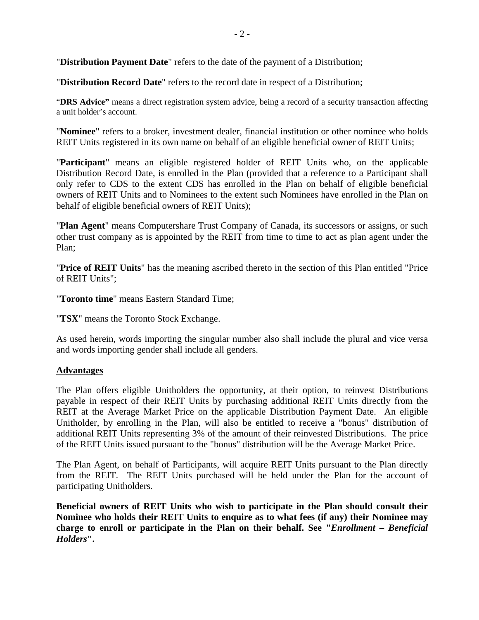"**Distribution Payment Date**" refers to the date of the payment of a Distribution;

"**Distribution Record Date**" refers to the record date in respect of a Distribution;

"**DRS Advice"** means a direct registration system advice, being a record of a security transaction affecting a unit holder's account.

"**Nominee**" refers to a broker, investment dealer, financial institution or other nominee who holds REIT Units registered in its own name on behalf of an eligible beneficial owner of REIT Units;

"**Participant**" means an eligible registered holder of REIT Units who, on the applicable Distribution Record Date, is enrolled in the Plan (provided that a reference to a Participant shall only refer to CDS to the extent CDS has enrolled in the Plan on behalf of eligible beneficial owners of REIT Units and to Nominees to the extent such Nominees have enrolled in the Plan on behalf of eligible beneficial owners of REIT Units);

"**Plan Agent**" means Computershare Trust Company of Canada, its successors or assigns, or such other trust company as is appointed by the REIT from time to time to act as plan agent under the Plan;

"**Price of REIT Units**" has the meaning ascribed thereto in the section of this Plan entitled "Price of REIT Units";

"**Toronto time**" means Eastern Standard Time;

"**TSX**" means the Toronto Stock Exchange.

As used herein, words importing the singular number also shall include the plural and vice versa and words importing gender shall include all genders.

## **Advantages**

The Plan offers eligible Unitholders the opportunity, at their option, to reinvest Distributions payable in respect of their REIT Units by purchasing additional REIT Units directly from the REIT at the Average Market Price on the applicable Distribution Payment Date. An eligible Unitholder, by enrolling in the Plan, will also be entitled to receive a "bonus" distribution of additional REIT Units representing 3% of the amount of their reinvested Distributions. The price of the REIT Units issued pursuant to the "bonus" distribution will be the Average Market Price.

The Plan Agent, on behalf of Participants, will acquire REIT Units pursuant to the Plan directly from the REIT. The REIT Units purchased will be held under the Plan for the account of participating Unitholders.

**Beneficial owners of REIT Units who wish to participate in the Plan should consult their Nominee who holds their REIT Units to enquire as to what fees (if any) their Nominee may charge to enroll or participate in the Plan on their behalf. See "***Enrollment – Beneficial Holders***".**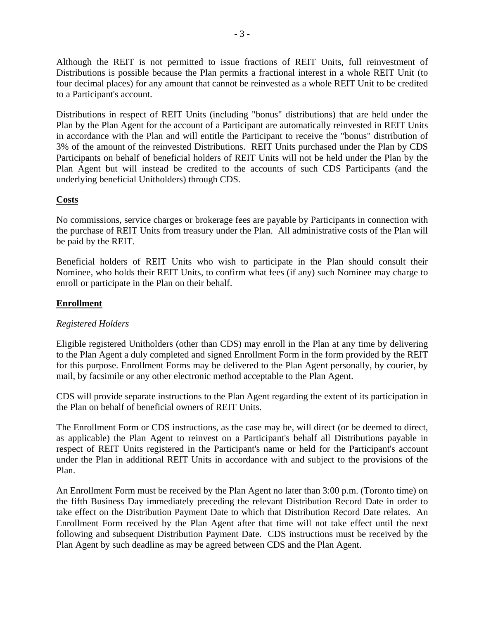Although the REIT is not permitted to issue fractions of REIT Units, full reinvestment of Distributions is possible because the Plan permits a fractional interest in a whole REIT Unit (to four decimal places) for any amount that cannot be reinvested as a whole REIT Unit to be credited to a Participant's account.

Distributions in respect of REIT Units (including "bonus" distributions) that are held under the Plan by the Plan Agent for the account of a Participant are automatically reinvested in REIT Units in accordance with the Plan and will entitle the Participant to receive the "bonus" distribution of 3% of the amount of the reinvested Distributions. REIT Units purchased under the Plan by CDS Participants on behalf of beneficial holders of REIT Units will not be held under the Plan by the Plan Agent but will instead be credited to the accounts of such CDS Participants (and the underlying beneficial Unitholders) through CDS.

## **Costs**

No commissions, service charges or brokerage fees are payable by Participants in connection with the purchase of REIT Units from treasury under the Plan. All administrative costs of the Plan will be paid by the REIT.

Beneficial holders of REIT Units who wish to participate in the Plan should consult their Nominee, who holds their REIT Units, to confirm what fees (if any) such Nominee may charge to enroll or participate in the Plan on their behalf.

## **Enrollment**

## *Registered Holders*

Eligible registered Unitholders (other than CDS) may enroll in the Plan at any time by delivering to the Plan Agent a duly completed and signed Enrollment Form in the form provided by the REIT for this purpose. Enrollment Forms may be delivered to the Plan Agent personally, by courier, by mail, by facsimile or any other electronic method acceptable to the Plan Agent.

CDS will provide separate instructions to the Plan Agent regarding the extent of its participation in the Plan on behalf of beneficial owners of REIT Units.

The Enrollment Form or CDS instructions, as the case may be, will direct (or be deemed to direct, as applicable) the Plan Agent to reinvest on a Participant's behalf all Distributions payable in respect of REIT Units registered in the Participant's name or held for the Participant's account under the Plan in additional REIT Units in accordance with and subject to the provisions of the Plan.

An Enrollment Form must be received by the Plan Agent no later than 3:00 p.m. (Toronto time) on the fifth Business Day immediately preceding the relevant Distribution Record Date in order to take effect on the Distribution Payment Date to which that Distribution Record Date relates. An Enrollment Form received by the Plan Agent after that time will not take effect until the next following and subsequent Distribution Payment Date. CDS instructions must be received by the Plan Agent by such deadline as may be agreed between CDS and the Plan Agent.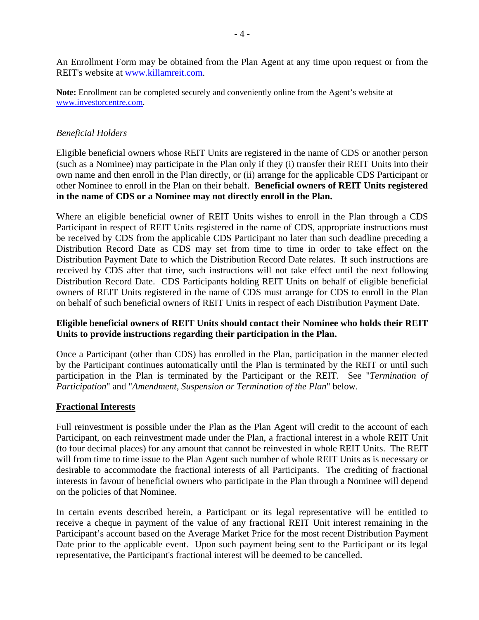An Enrollment Form may be obtained from the Plan Agent at any time upon request or from the REIT's website at www.killamreit.com.

**Note:** Enrollment can be completed securely and conveniently online from the Agent's website at www.investorcentre.com.

### *Beneficial Holders*

Eligible beneficial owners whose REIT Units are registered in the name of CDS or another person (such as a Nominee) may participate in the Plan only if they (i) transfer their REIT Units into their own name and then enroll in the Plan directly, or (ii) arrange for the applicable CDS Participant or other Nominee to enroll in the Plan on their behalf. **Beneficial owners of REIT Units registered in the name of CDS or a Nominee may not directly enroll in the Plan.**

Where an eligible beneficial owner of REIT Units wishes to enroll in the Plan through a CDS Participant in respect of REIT Units registered in the name of CDS, appropriate instructions must be received by CDS from the applicable CDS Participant no later than such deadline preceding a Distribution Record Date as CDS may set from time to time in order to take effect on the Distribution Payment Date to which the Distribution Record Date relates. If such instructions are received by CDS after that time, such instructions will not take effect until the next following Distribution Record Date. CDS Participants holding REIT Units on behalf of eligible beneficial owners of REIT Units registered in the name of CDS must arrange for CDS to enroll in the Plan on behalf of such beneficial owners of REIT Units in respect of each Distribution Payment Date.

## **Eligible beneficial owners of REIT Units should contact their Nominee who holds their REIT Units to provide instructions regarding their participation in the Plan.**

Once a Participant (other than CDS) has enrolled in the Plan, participation in the manner elected by the Participant continues automatically until the Plan is terminated by the REIT or until such participation in the Plan is terminated by the Participant or the REIT. See "*Termination of Participation*" and "*Amendment, Suspension or Termination of the Plan*" below.

## **Fractional Interests**

Full reinvestment is possible under the Plan as the Plan Agent will credit to the account of each Participant, on each reinvestment made under the Plan, a fractional interest in a whole REIT Unit (to four decimal places) for any amount that cannot be reinvested in whole REIT Units. The REIT will from time to time issue to the Plan Agent such number of whole REIT Units as is necessary or desirable to accommodate the fractional interests of all Participants. The crediting of fractional interests in favour of beneficial owners who participate in the Plan through a Nominee will depend on the policies of that Nominee.

In certain events described herein, a Participant or its legal representative will be entitled to receive a cheque in payment of the value of any fractional REIT Unit interest remaining in the Participant's account based on the Average Market Price for the most recent Distribution Payment Date prior to the applicable event. Upon such payment being sent to the Participant or its legal representative, the Participant's fractional interest will be deemed to be cancelled.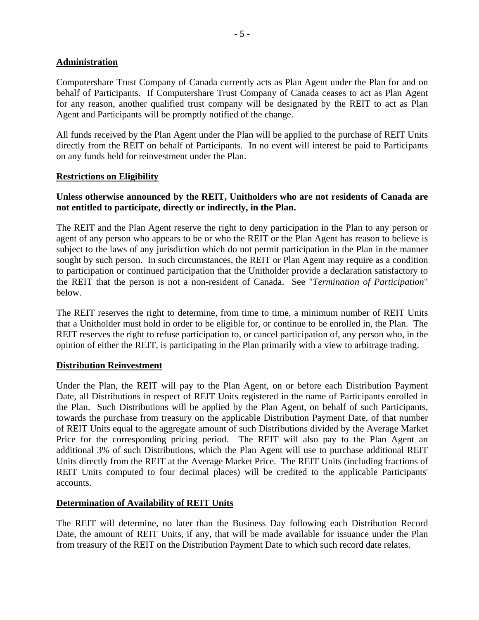## **Administration**

Computershare Trust Company of Canada currently acts as Plan Agent under the Plan for and on behalf of Participants. If Computershare Trust Company of Canada ceases to act as Plan Agent for any reason, another qualified trust company will be designated by the REIT to act as Plan Agent and Participants will be promptly notified of the change.

All funds received by the Plan Agent under the Plan will be applied to the purchase of REIT Units directly from the REIT on behalf of Participants. In no event will interest be paid to Participants on any funds held for reinvestment under the Plan.

## **Restrictions on Eligibility**

## **Unless otherwise announced by the REIT, Unitholders who are not residents of Canada are not entitled to participate, directly or indirectly, in the Plan.**

The REIT and the Plan Agent reserve the right to deny participation in the Plan to any person or agent of any person who appears to be or who the REIT or the Plan Agent has reason to believe is subject to the laws of any jurisdiction which do not permit participation in the Plan in the manner sought by such person. In such circumstances, the REIT or Plan Agent may require as a condition to participation or continued participation that the Unitholder provide a declaration satisfactory to the REIT that the person is not a non-resident of Canada. See "*Termination of Participation*" below.

The REIT reserves the right to determine, from time to time, a minimum number of REIT Units that a Unitholder must hold in order to be eligible for, or continue to be enrolled in, the Plan. The REIT reserves the right to refuse participation to, or cancel participation of, any person who, in the opinion of either the REIT, is participating in the Plan primarily with a view to arbitrage trading.

## **Distribution Reinvestment**

Under the Plan, the REIT will pay to the Plan Agent, on or before each Distribution Payment Date, all Distributions in respect of REIT Units registered in the name of Participants enrolled in the Plan. Such Distributions will be applied by the Plan Agent, on behalf of such Participants, towards the purchase from treasury on the applicable Distribution Payment Date, of that number of REIT Units equal to the aggregate amount of such Distributions divided by the Average Market Price for the corresponding pricing period. The REIT will also pay to the Plan Agent an additional 3% of such Distributions, which the Plan Agent will use to purchase additional REIT Units directly from the REIT at the Average Market Price. The REIT Units (including fractions of REIT Units computed to four decimal places) will be credited to the applicable Participants' accounts.

## **Determination of Availability of REIT Units**

The REIT will determine, no later than the Business Day following each Distribution Record Date, the amount of REIT Units, if any, that will be made available for issuance under the Plan from treasury of the REIT on the Distribution Payment Date to which such record date relates.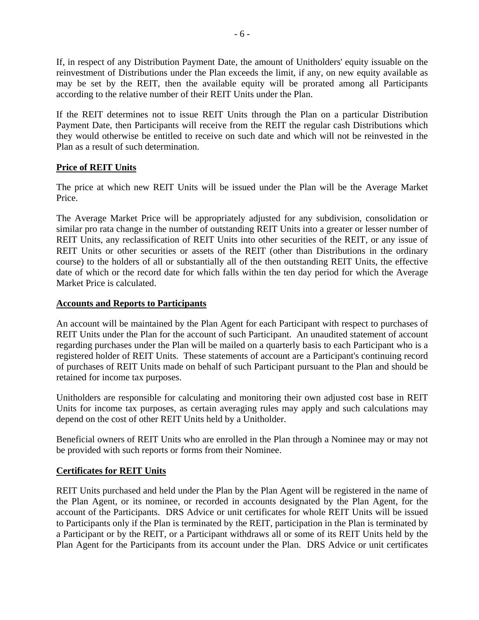If, in respect of any Distribution Payment Date, the amount of Unitholders' equity issuable on the reinvestment of Distributions under the Plan exceeds the limit, if any, on new equity available as may be set by the REIT, then the available equity will be prorated among all Participants according to the relative number of their REIT Units under the Plan.

If the REIT determines not to issue REIT Units through the Plan on a particular Distribution Payment Date, then Participants will receive from the REIT the regular cash Distributions which they would otherwise be entitled to receive on such date and which will not be reinvested in the Plan as a result of such determination.

## **Price of REIT Units**

The price at which new REIT Units will be issued under the Plan will be the Average Market Price.

The Average Market Price will be appropriately adjusted for any subdivision, consolidation or similar pro rata change in the number of outstanding REIT Units into a greater or lesser number of REIT Units, any reclassification of REIT Units into other securities of the REIT, or any issue of REIT Units or other securities or assets of the REIT (other than Distributions in the ordinary course) to the holders of all or substantially all of the then outstanding REIT Units, the effective date of which or the record date for which falls within the ten day period for which the Average Market Price is calculated.

## **Accounts and Reports to Participants**

An account will be maintained by the Plan Agent for each Participant with respect to purchases of REIT Units under the Plan for the account of such Participant. An unaudited statement of account regarding purchases under the Plan will be mailed on a quarterly basis to each Participant who is a registered holder of REIT Units. These statements of account are a Participant's continuing record of purchases of REIT Units made on behalf of such Participant pursuant to the Plan and should be retained for income tax purposes.

Unitholders are responsible for calculating and monitoring their own adjusted cost base in REIT Units for income tax purposes, as certain averaging rules may apply and such calculations may depend on the cost of other REIT Units held by a Unitholder.

Beneficial owners of REIT Units who are enrolled in the Plan through a Nominee may or may not be provided with such reports or forms from their Nominee.

# **Certificates for REIT Units**

REIT Units purchased and held under the Plan by the Plan Agent will be registered in the name of the Plan Agent, or its nominee, or recorded in accounts designated by the Plan Agent, for the account of the Participants. DRS Advice or unit certificates for whole REIT Units will be issued to Participants only if the Plan is terminated by the REIT, participation in the Plan is terminated by a Participant or by the REIT, or a Participant withdraws all or some of its REIT Units held by the Plan Agent for the Participants from its account under the Plan. DRS Advice or unit certificates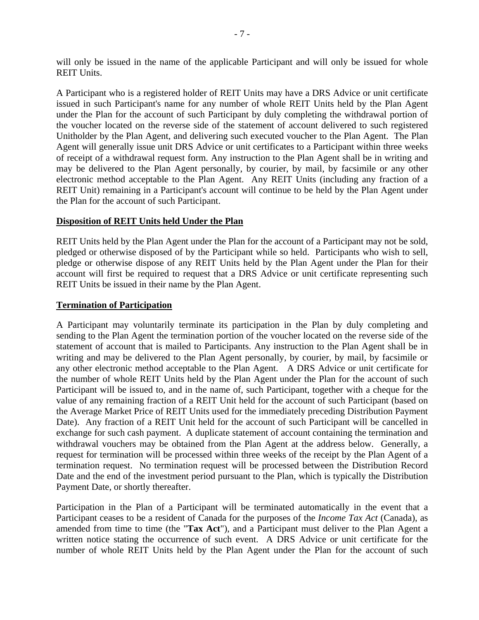will only be issued in the name of the applicable Participant and will only be issued for whole REIT Units.

A Participant who is a registered holder of REIT Units may have a DRS Advice or unit certificate issued in such Participant's name for any number of whole REIT Units held by the Plan Agent under the Plan for the account of such Participant by duly completing the withdrawal portion of the voucher located on the reverse side of the statement of account delivered to such registered Unitholder by the Plan Agent, and delivering such executed voucher to the Plan Agent. The Plan Agent will generally issue unit DRS Advice or unit certificates to a Participant within three weeks of receipt of a withdrawal request form. Any instruction to the Plan Agent shall be in writing and may be delivered to the Plan Agent personally, by courier, by mail, by facsimile or any other electronic method acceptable to the Plan Agent. Any REIT Units (including any fraction of a REIT Unit) remaining in a Participant's account will continue to be held by the Plan Agent under the Plan for the account of such Participant.

## **Disposition of REIT Units held Under the Plan**

REIT Units held by the Plan Agent under the Plan for the account of a Participant may not be sold, pledged or otherwise disposed of by the Participant while so held. Participants who wish to sell, pledge or otherwise dispose of any REIT Units held by the Plan Agent under the Plan for their account will first be required to request that a DRS Advice or unit certificate representing such REIT Units be issued in their name by the Plan Agent.

### **Termination of Participation**

A Participant may voluntarily terminate its participation in the Plan by duly completing and sending to the Plan Agent the termination portion of the voucher located on the reverse side of the statement of account that is mailed to Participants. Any instruction to the Plan Agent shall be in writing and may be delivered to the Plan Agent personally, by courier, by mail, by facsimile or any other electronic method acceptable to the Plan Agent. A DRS Advice or unit certificate for the number of whole REIT Units held by the Plan Agent under the Plan for the account of such Participant will be issued to, and in the name of, such Participant, together with a cheque for the value of any remaining fraction of a REIT Unit held for the account of such Participant (based on the Average Market Price of REIT Units used for the immediately preceding Distribution Payment Date). Any fraction of a REIT Unit held for the account of such Participant will be cancelled in exchange for such cash payment. A duplicate statement of account containing the termination and withdrawal vouchers may be obtained from the Plan Agent at the address below. Generally, a request for termination will be processed within three weeks of the receipt by the Plan Agent of a termination request. No termination request will be processed between the Distribution Record Date and the end of the investment period pursuant to the Plan, which is typically the Distribution Payment Date, or shortly thereafter.

Participation in the Plan of a Participant will be terminated automatically in the event that a Participant ceases to be a resident of Canada for the purposes of the *Income Tax Act* (Canada), as amended from time to time (the "**Tax Act**"), and a Participant must deliver to the Plan Agent a written notice stating the occurrence of such event. A DRS Advice or unit certificate for the number of whole REIT Units held by the Plan Agent under the Plan for the account of such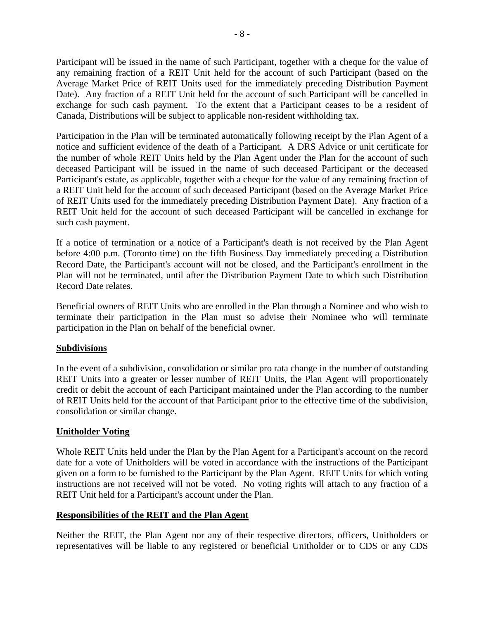Participant will be issued in the name of such Participant, together with a cheque for the value of any remaining fraction of a REIT Unit held for the account of such Participant (based on the Average Market Price of REIT Units used for the immediately preceding Distribution Payment Date). Any fraction of a REIT Unit held for the account of such Participant will be cancelled in exchange for such cash payment. To the extent that a Participant ceases to be a resident of Canada, Distributions will be subject to applicable non-resident withholding tax.

Participation in the Plan will be terminated automatically following receipt by the Plan Agent of a notice and sufficient evidence of the death of a Participant. A DRS Advice or unit certificate for the number of whole REIT Units held by the Plan Agent under the Plan for the account of such deceased Participant will be issued in the name of such deceased Participant or the deceased Participant's estate, as applicable, together with a cheque for the value of any remaining fraction of a REIT Unit held for the account of such deceased Participant (based on the Average Market Price of REIT Units used for the immediately preceding Distribution Payment Date). Any fraction of a REIT Unit held for the account of such deceased Participant will be cancelled in exchange for such cash payment.

If a notice of termination or a notice of a Participant's death is not received by the Plan Agent before 4:00 p.m. (Toronto time) on the fifth Business Day immediately preceding a Distribution Record Date, the Participant's account will not be closed, and the Participant's enrollment in the Plan will not be terminated, until after the Distribution Payment Date to which such Distribution Record Date relates.

Beneficial owners of REIT Units who are enrolled in the Plan through a Nominee and who wish to terminate their participation in the Plan must so advise their Nominee who will terminate participation in the Plan on behalf of the beneficial owner.

## **Subdivisions**

In the event of a subdivision, consolidation or similar pro rata change in the number of outstanding REIT Units into a greater or lesser number of REIT Units, the Plan Agent will proportionately credit or debit the account of each Participant maintained under the Plan according to the number of REIT Units held for the account of that Participant prior to the effective time of the subdivision, consolidation or similar change.

## **Unitholder Voting**

Whole REIT Units held under the Plan by the Plan Agent for a Participant's account on the record date for a vote of Unitholders will be voted in accordance with the instructions of the Participant given on a form to be furnished to the Participant by the Plan Agent. REIT Units for which voting instructions are not received will not be voted. No voting rights will attach to any fraction of a REIT Unit held for a Participant's account under the Plan.

## **Responsibilities of the REIT and the Plan Agent**

Neither the REIT, the Plan Agent nor any of their respective directors, officers, Unitholders or representatives will be liable to any registered or beneficial Unitholder or to CDS or any CDS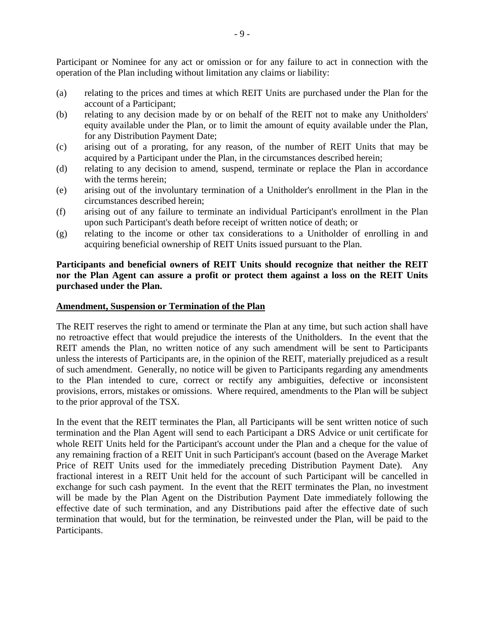Participant or Nominee for any act or omission or for any failure to act in connection with the operation of the Plan including without limitation any claims or liability:

- (a) relating to the prices and times at which REIT Units are purchased under the Plan for the account of a Participant;
- (b) relating to any decision made by or on behalf of the REIT not to make any Unitholders' equity available under the Plan, or to limit the amount of equity available under the Plan, for any Distribution Payment Date;
- (c) arising out of a prorating, for any reason, of the number of REIT Units that may be acquired by a Participant under the Plan, in the circumstances described herein;
- (d) relating to any decision to amend, suspend, terminate or replace the Plan in accordance with the terms herein;
- (e) arising out of the involuntary termination of a Unitholder's enrollment in the Plan in the circumstances described herein;
- (f) arising out of any failure to terminate an individual Participant's enrollment in the Plan upon such Participant's death before receipt of written notice of death; or
- (g) relating to the income or other tax considerations to a Unitholder of enrolling in and acquiring beneficial ownership of REIT Units issued pursuant to the Plan.

## **Participants and beneficial owners of REIT Units should recognize that neither the REIT nor the Plan Agent can assure a profit or protect them against a loss on the REIT Units purchased under the Plan.**

#### **Amendment, Suspension or Termination of the Plan**

The REIT reserves the right to amend or terminate the Plan at any time, but such action shall have no retroactive effect that would prejudice the interests of the Unitholders. In the event that the REIT amends the Plan, no written notice of any such amendment will be sent to Participants unless the interests of Participants are, in the opinion of the REIT, materially prejudiced as a result of such amendment. Generally, no notice will be given to Participants regarding any amendments to the Plan intended to cure, correct or rectify any ambiguities, defective or inconsistent provisions, errors, mistakes or omissions. Where required, amendments to the Plan will be subject to the prior approval of the TSX.

In the event that the REIT terminates the Plan, all Participants will be sent written notice of such termination and the Plan Agent will send to each Participant a DRS Advice or unit certificate for whole REIT Units held for the Participant's account under the Plan and a cheque for the value of any remaining fraction of a REIT Unit in such Participant's account (based on the Average Market Price of REIT Units used for the immediately preceding Distribution Payment Date). Any fractional interest in a REIT Unit held for the account of such Participant will be cancelled in exchange for such cash payment. In the event that the REIT terminates the Plan, no investment will be made by the Plan Agent on the Distribution Payment Date immediately following the effective date of such termination, and any Distributions paid after the effective date of such termination that would, but for the termination, be reinvested under the Plan, will be paid to the Participants.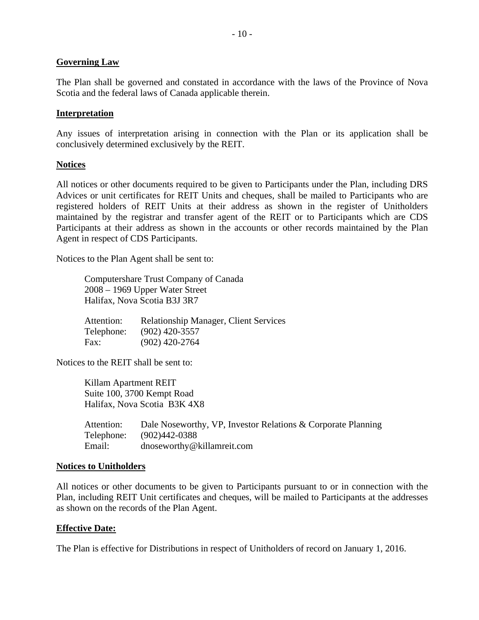### **Governing Law**

The Plan shall be governed and constated in accordance with the laws of the Province of Nova Scotia and the federal laws of Canada applicable therein.

### **Interpretation**

Any issues of interpretation arising in connection with the Plan or its application shall be conclusively determined exclusively by the REIT.

### **Notices**

All notices or other documents required to be given to Participants under the Plan, including DRS Advices or unit certificates for REIT Units and cheques, shall be mailed to Participants who are registered holders of REIT Units at their address as shown in the register of Unitholders maintained by the registrar and transfer agent of the REIT or to Participants which are CDS Participants at their address as shown in the accounts or other records maintained by the Plan Agent in respect of CDS Participants.

Notices to the Plan Agent shall be sent to:

Computershare Trust Company of Canada 2008 – 1969 Upper Water Street Halifax, Nova Scotia B3J 3R7

Attention: Relationship Manager, Client Services Telephone: (902) 420-3557 Fax: (902) 420-2764

Notices to the REIT shall be sent to:

Killam Apartment REIT Suite 100, 3700 Kempt Road Halifax, Nova Scotia B3K 4X8

| Attention: | Dale Noseworthy, VP, Investor Relations & Corporate Planning |
|------------|--------------------------------------------------------------|
| Telephone: | (902)442-0388                                                |
| Email:     | dnoseworthy@killamreit.com                                   |

#### **Notices to Unitholders**

All notices or other documents to be given to Participants pursuant to or in connection with the Plan, including REIT Unit certificates and cheques, will be mailed to Participants at the addresses as shown on the records of the Plan Agent.

## **Effective Date:**

The Plan is effective for Distributions in respect of Unitholders of record on January 1, 2016.